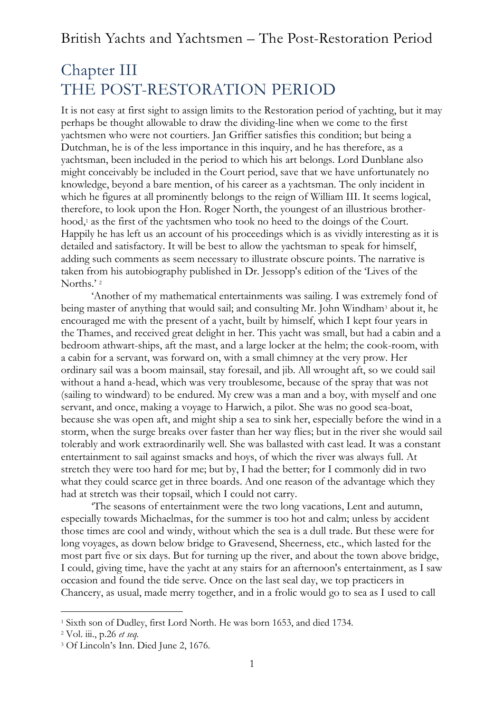# Chapter III THE POST-RESTORATION PERIOD

It is not easy at first sight to assign limits to the Restoration period of yachting, but it may perhaps be thought allowable to draw the dividing-line when we come to the first yachtsmen who were not courtiers. Jan Griffier satisfies this condition; but being a Dutchman, he is of the less importance in this inquiry, and he has therefore, as a yachtsman, been included in the period to which his art belongs. Lord Dunblane also might conceivably be included in the Court period, save that we have unfortunately no knowledge, beyond a bare mention, of his career as a yachtsman. The only incident in which he figures at all prominently belongs to the reign of William III. It seems logical, therefore, to look upon the Hon. Roger North, the youngest of an illustrious brotherhood,<sup>1</sup> as the first of the yachtsmen who took no heed to the doings of the Court. Happily he has left us an account of his proceedings which is as vividly interesting as it is detailed and satisfactory. It will be best to allow the yachtsman to speak for himself, adding such comments as seem necessary to illustrate obscure points. The narrative is taken from his autobiography published in Dr. Jessopp's edition of the 'Lives of the Norths.'<sup>2</sup>

'Another of my mathematical entertainments was sailing. I was extremely fond of being master of anything that would sail; and consulting Mr. John Windham<sup>3</sup> about it, he encouraged me with the present of a yacht, built by himself, which I kept four years in the Thames, and received great delight in her. This yacht was small, but had a cabin and a bedroom athwart-ships, aft the mast, and a large locker at the helm; the cook-room, with a cabin for a servant, was forward on, with a small chimney at the very prow. Her ordinary sail was a boom mainsail, stay foresail, and jib. All wrought aft, so we could sail without a hand a-head, which was very troublesome, because of the spray that was not (sailing to windward) to be endured. My crew was a man and a boy, with myself and one servant, and once, making a voyage to Harwich, a pilot. She was no good sea-boat, because she was open aft, and might ship a sea to sink her, especially before the wind in a storm, when the surge breaks over faster than her way flies; but in the river she would sail tolerably and work extraordinarily well. She was ballasted with cast lead. It was a constant entertainment to sail against smacks and hoys, of which the river was always full. At stretch they were too hard for me; but by, I had the better; for I commonly did in two what they could scarce get in three boards. And one reason of the advantage which they had at stretch was their topsail, which I could not carry.

'The seasons of entertainment were the two long vacations, Lent and autumn, especially towards Michaelmas, for the summer is too hot and calm; unless by accident those times are cool and windy, without which the sea is a dull trade. But these were for long voyages, as down below bridge to Gravesend, Sheerness, etc., which lasted for the most part five or six days. But for turning up the river, and about the town above bridge, I could, giving time, have the yacht at any stairs for an afternoon's entertainment, as I saw occasion and found the tide serve. Once on the last seal day, we top practicers in Chancery, as usual, made merry together, and in a frolic would go to sea as I used to call

<sup>1</sup> Sixth son of Dudley, first Lord North. He was born 1653, and died 1734.

<sup>2</sup> Vol. iii., p.26 *et seq.*

<sup>3</sup> Of Lincoln's Inn. Died June 2, 1676.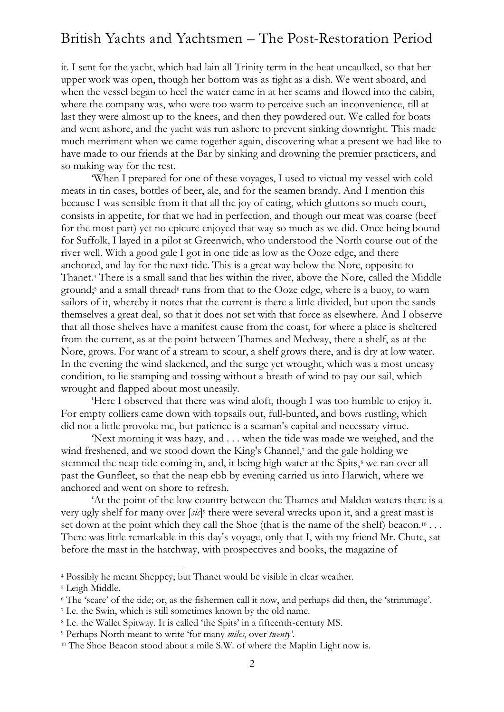it. I sent for the yacht, which had lain all Trinity term in the heat uncaulked, so that her upper work was open, though her bottom was as tight as a dish. We went aboard, and when the vessel began to heel the water came in at her seams and flowed into the cabin, where the company was, who were too warm to perceive such an inconvenience, till at last they were almost up to the knees, and then they powdered out. We called for boats and went ashore, and the yacht was run ashore to prevent sinking downright. This made much merriment when we came together again, discovering what a present we had like to have made to our friends at the Bar by sinking and drowning the premier practicers, and so making way for the rest.

'When I prepared for one of these voyages, I used to victual my vessel with cold meats in tin cases, bottles of beer, ale, and for the seamen brandy. And I mention this because I was sensible from it that all the joy of eating, which gluttons so much court, consists in appetite, for that we had in perfection, and though our meat was coarse (beef for the most part) yet no epicure enjoyed that way so much as we did. Once being bound for Suffolk, I layed in a pilot at Greenwich, who understood the North course out of the river well. With a good gale I got in one tide as low as the Ooze edge, and there anchored, and lay for the next tide. This is a great way below the Nore, opposite to Thanet.<sup>4</sup> There is a small sand that lies within the river, above the Nore, called the Middle ground;<sup>5</sup> and a small thread<sup>6</sup> runs from that to the Ooze edge, where is a buoy, to warn sailors of it, whereby it notes that the current is there a little divided, but upon the sands themselves a great deal, so that it does not set with that force as elsewhere. And I observe that all those shelves have a manifest cause from the coast, for where a place is sheltered from the current, as at the point between Thames and Medway, there a shelf, as at the Nore, grows. For want of a stream to scour, a shelf grows there, and is dry at low water. In the evening the wind slackened, and the surge yet wrought, which was a most uneasy condition, to lie stamping and tossing without a breath of wind to pay our sail, which wrought and flapped about most uneasily.

'Here I observed that there was wind aloft, though I was too humble to enjoy it. For empty colliers came down with topsails out, full-bunted, and bows rustling, which did not a little provoke me, but patience is a seaman's capital and necessary virtue.

'Next morning it was hazy, and . . . when the tide was made we weighed, and the wind freshened, and we stood down the King's Channel,<sup>7</sup> and the gale holding we stemmed the neap tide coming in, and, it being high water at the Spits,<sup>8</sup> we ran over all past the Gunfleet, so that the neap ebb by evening carried us into Harwich, where we anchored and went on shore to refresh.

'At the point of the low country between the Thames and Malden waters there is a very ugly shelf for many over [*sic*] <sup>9</sup> there were several wrecks upon it, and a great mast is set down at the point which they call the Shoe (that is the name of the shelf) beacon.<sup>10</sup> ... There was little remarkable in this day's voyage, only that I, with my friend Mr. Chute, sat before the mast in the hatchway, with prospectives and books, the magazine of

<sup>4</sup> Possibly he meant Sheppey; but Thanet would be visible in clear weather.

<sup>&</sup>lt;sup>5</sup> Leigh Middle.

<sup>6</sup> The 'scare' of the tide; or, as the fishermen call it now, and perhaps did then, the 'strimmage'.

<sup>7</sup> I.e. the Swin, which is still sometimes known by the old name.

<sup>8</sup> I.e. the Wallet Spitway. It is called 'the Spits' in a fifteenth-century MS.

<sup>9</sup> Perhaps North meant to write 'for many *miles*, over *twenty'*.

<sup>&</sup>lt;sup>10</sup> The Shoe Beacon stood about a mile S.W. of where the Maplin Light now is.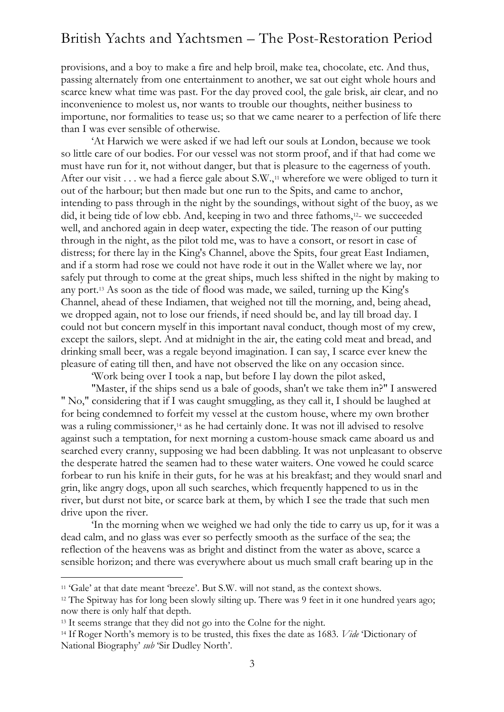provisions, and a boy to make a fire and help broil, make tea, chocolate, etc. And thus, passing alternately from one entertainment to another, we sat out eight whole hours and scarce knew what time was past. For the day proved cool, the gale brisk, air clear, and no inconvenience to molest us, nor wants to trouble our thoughts, neither business to importune, nor formalities to tease us; so that we came nearer to a perfection of life there than I was ever sensible of otherwise.

'At Harwich we were asked if we had left our souls at London, because we took so little care of our bodies. For our vessel was not storm proof, and if that had come we must have run for it, not without danger, but that is pleasure to the eagerness of youth. After our visit . . . we had a fierce gale about S.W.,<sup>11</sup> wherefore we were obliged to turn it out of the harbour; but then made but one run to the Spits, and came to anchor, intending to pass through in the night by the soundings, without sight of the buoy, as we did, it being tide of low ebb. And, keeping in two and three fathoms,12- we succeeded well, and anchored again in deep water, expecting the tide. The reason of our putting through in the night, as the pilot told me, was to have a consort, or resort in case of distress; for there lay in the King's Channel, above the Spits, four great East Indiamen, and if a storm had rose we could not have rode it out in the Wallet where we lay, nor safely put through to come at the great ships, much less shifted in the night by making to any port.<sup>13</sup> As soon as the tide of flood was made, we sailed, turning up the King's Channel, ahead of these Indiamen, that weighed not till the morning, and, being ahead, we dropped again, not to lose our friends, if need should be, and lay till broad day. I could not but concern myself in this important naval conduct, though most of my crew, except the sailors, slept. And at midnight in the air, the eating cold meat and bread, and drinking small beer, was a regale beyond imagination. I can say, I scarce ever knew the pleasure of eating till then, and have not observed the like on any occasion since.

'Work being over I took a nap, but before I lay down the pilot asked,

"Master, if the ships send us a bale of goods, shan't we take them in?" I answered " No," considering that if I was caught smuggling, as they call it, I should be laughed at for being condemned to forfeit my vessel at the custom house, where my own brother was a ruling commissioner,<sup>14</sup> as he had certainly done. It was not ill advised to resolve against such a temptation, for next morning a custom-house smack came aboard us and searched every cranny, supposing we had been dabbling. It was not unpleasant to observe the desperate hatred the seamen had to these water waiters. One vowed he could scarce forbear to run his knife in their guts, for he was at his breakfast; and they would snarl and grin, like angry dogs, upon all such searches, which frequently happened to us in the river, but durst not bite, or scarce bark at them, by which I see the trade that such men drive upon the river.

'In the morning when we weighed we had only the tide to carry us up, for it was a dead calm, and no glass was ever so perfectly smooth as the surface of the sea; the reflection of the heavens was as bright and distinct from the water as above, scarce a sensible horizon; and there was everywhere about us much small craft bearing up in the

<sup>&</sup>lt;sup>11</sup> 'Gale' at that date meant 'breeze'. But S.W. will not stand, as the context shows.

<sup>&</sup>lt;sup>12</sup> The Spitway has for long been slowly silting up. There was 9 feet in it one hundred years ago; now there is only half that depth.

<sup>&</sup>lt;sup>13</sup> It seems strange that they did not go into the Colne for the night.

<sup>14</sup> If Roger North's memory is to be trusted, this fixes the date as 1683. *Vide* 'Dictionary of National Biography' *sub* 'Sir Dudley North'.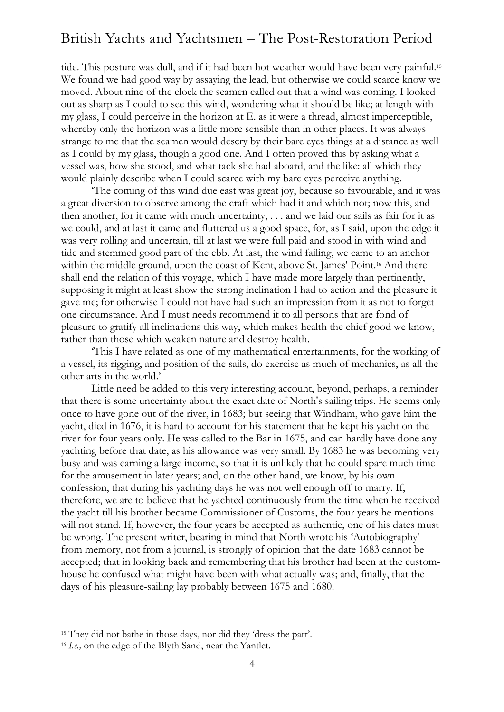tide. This posture was dull, and if it had been hot weather would have been very painful.<sup>15</sup> We found we had good way by assaying the lead, but otherwise we could scarce know we moved. About nine of the clock the seamen called out that a wind was coming. I looked out as sharp as I could to see this wind, wondering what it should be like; at length with my glass, I could perceive in the horizon at E. as it were a thread, almost imperceptible, whereby only the horizon was a little more sensible than in other places. It was always strange to me that the seamen would descry by their bare eyes things at a distance as well as I could by my glass, though a good one. And I often proved this by asking what a vessel was, how she stood, and what tack she had aboard, and the like: all which they would plainly describe when I could scarce with my bare eyes perceive anything.

'The coming of this wind due east was great joy, because so favourable, and it was a great diversion to observe among the craft which had it and which not; now this, and then another, for it came with much uncertainty, . . . and we laid our sails as fair for it as we could, and at last it came and fluttered us a good space, for, as I said, upon the edge it was very rolling and uncertain, till at last we were full paid and stood in with wind and tide and stemmed good part of the ebb. At last, the wind failing, we came to an anchor within the middle ground, upon the coast of Kent, above St. James' Point.<sup>16</sup> And there shall end the relation of this voyage, which I have made more largely than pertinently, supposing it might at least show the strong inclination I had to action and the pleasure it gave me; for otherwise I could not have had such an impression from it as not to forget one circumstance. And I must needs recommend it to all persons that are fond of pleasure to gratify all inclinations this way, which makes health the chief good we know, rather than those which weaken nature and destroy health.

'This I have related as one of my mathematical entertainments, for the working of a vessel, its rigging, and position of the sails, do exercise as much of mechanics, as all the other arts in the world.'

Little need be added to this very interesting account, beyond, perhaps, a reminder that there is some uncertainty about the exact date of North's sailing trips. He seems only once to have gone out of the river, in 1683; but seeing that Windham, who gave him the yacht, died in 1676, it is hard to account for his statement that he kept his yacht on the river for four years only. He was called to the Bar in 1675, and can hardly have done any yachting before that date, as his allowance was very small. By 1683 he was becoming very busy and was earning a large income, so that it is unlikely that he could spare much time for the amusement in later years; and, on the other hand, we know, by his own confession, that during his yachting days he was not well enough off to marry. If, therefore, we are to believe that he yachted continuously from the time when he received the yacht till his brother became Commissioner of Customs, the four years he mentions will not stand. If, however, the four years be accepted as authentic, one of his dates must be wrong. The present writer, bearing in mind that North wrote his 'Autobiography' from memory, not from a journal, is strongly of opinion that the date 1683 cannot be accepted; that in looking back and remembering that his brother had been at the customhouse he confused what might have been with what actually was; and, finally, that the days of his pleasure-sailing lay probably between 1675 and 1680.

<sup>15</sup> They did not bathe in those days, nor did they 'dress the part'.

<sup>16</sup> *I.e.,* on the edge of the Blyth Sand, near the Yantlet.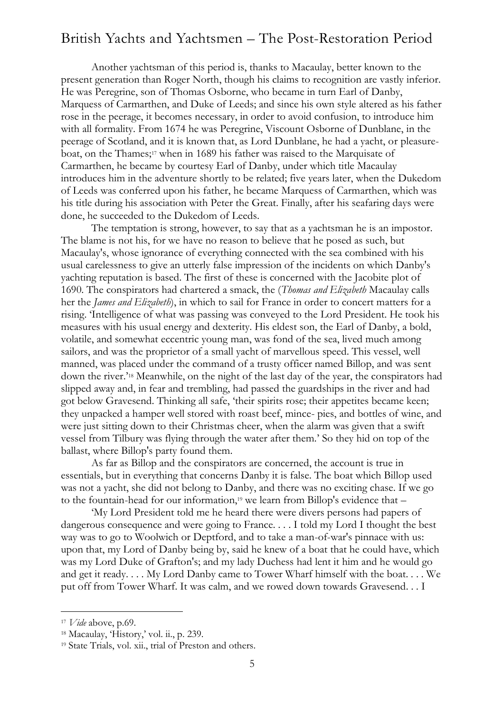Another yachtsman of this period is, thanks to Macaulay, better known to the present generation than Roger North, though his claims to recognition are vastly inferior. He was Peregrine, son of Thomas Osborne, who became in turn Earl of Danby, Marquess of Carmarthen, and Duke of Leeds; and since his own style altered as his father rose in the peerage, it becomes necessary, in order to avoid confusion, to introduce him with all formality. From 1674 he was Peregrine, Viscount Osborne of Dunblane, in the peerage of Scotland, and it is known that, as Lord Dunblane, he had a yacht, or pleasureboat, on the Thames; <sup>17</sup> when in 1689 his father was raised to the Marquisate of Carmarthen, he became by courtesy Earl of Danby, under which title Macaulay introduces him in the adventure shortly to be related; five years later, when the Dukedom of Leeds was conferred upon his father, he became Marquess of Carmarthen, which was his title during his association with Peter the Great. Finally, after his seafaring days were done, he succeeded to the Dukedom of Leeds.

The temptation is strong, however, to say that as a yachtsman he is an impostor. The blame is not his, for we have no reason to believe that he posed as such, but Macaulay's, whose ignorance of everything connected with the sea combined with his usual carelessness to give an utterly false impression of the incidents on which Danby's yachting reputation is based. The first of these is concerned with the Jacobite plot of 1690. The conspirators had chartered a smack, the (*Thomas and Elizabeth* Macaulay calls her the *James and Elizabeth*), in which to sail for France in order to concert matters for a rising. 'Intelligence of what was passing was conveyed to the Lord President. He took his measures with his usual energy and dexterity. His eldest son, the Earl of Danby, a bold, volatile, and somewhat eccentric young man, was fond of the sea, lived much among sailors, and was the proprietor of a small yacht of marvellous speed. This vessel, well manned, was placed under the command of a trusty officer named Billop, and was sent down the river.' <sup>18</sup> Meanwhile, on the night of the last day of the year, the conspirators had slipped away and, in fear and trembling, had passed the guardships in the river and had got below Gravesend. Thinking all safe, 'their spirits rose; their appetites became keen; they unpacked a hamper well stored with roast beef, mince- pies, and bottles of wine, and were just sitting down to their Christmas cheer, when the alarm was given that a swift vessel from Tilbury was flying through the water after them.' So they hid on top of the ballast, where Billop's party found them.

As far as Billop and the conspirators are concerned, the account is true in essentials, but in everything that concerns Danby it is false. The boat which Billop used was not a yacht, she did not belong to Danby, and there was no exciting chase. If we go to the fountain-head for our information,<sup>19</sup> we learn from Billop's evidence that –

'My Lord President told me he heard there were divers persons had papers of dangerous consequence and were going to France. . . . I told my Lord I thought the best way was to go to Woolwich or Deptford, and to take a man-of-war's pinnace with us: upon that, my Lord of Danby being by, said he knew of a boat that he could have, which was my Lord Duke of Grafton's; and my lady Duchess had lent it him and he would go and get it ready. . . . My Lord Danby came to Tower Wharf himself with the boat. . . . We put off from Tower Wharf. It was calm, and we rowed down towards Gravesend. . . I

<sup>17</sup> *Vide* above, p.69.

<sup>18</sup> Macaulay, 'History,' vol. ii., p. 239.

<sup>19</sup> State Trials, vol. xii., trial of Preston and others.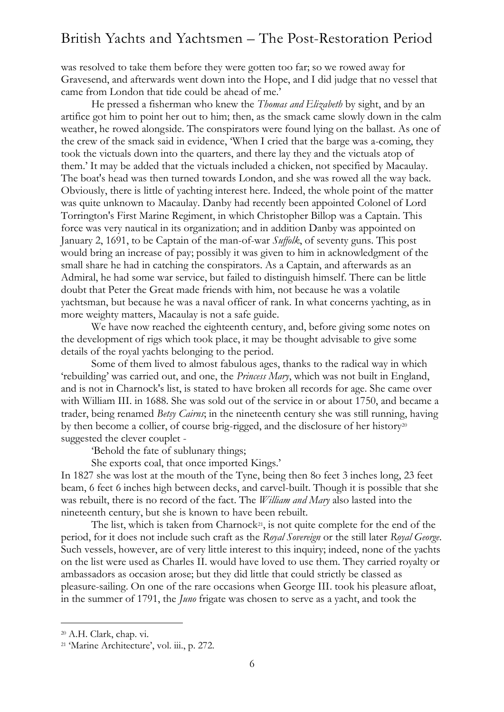was resolved to take them before they were gotten too far; so we rowed away for Gravesend, and afterwards went down into the Hope, and I did judge that no vessel that came from London that tide could be ahead of me.'

He pressed a fisherman who knew the *Thomas and Elizabeth* by sight, and by an artifice got him to point her out to him; then, as the smack came slowly down in the calm weather, he rowed alongside. The conspirators were found lying on the ballast. As one of the crew of the smack said in evidence, 'When I cried that the barge was a-coming, they took the victuals down into the quarters, and there lay they and the victuals atop of them.' It may be added that the victuals included a chicken, not specified by Macaulay. The boat's head was then turned towards London, and she was rowed all the way back. Obviously, there is little of yachting interest here. Indeed, the whole point of the matter was quite unknown to Macaulay. Danby had recently been appointed Colonel of Lord Torrington's First Marine Regiment, in which Christopher Billop was a Captain. This force was very nautical in its organization; and in addition Danby was appointed on January 2, 1691, to be Captain of the man-of-war *Suffolk*, of seventy guns. This post would bring an increase of pay; possibly it was given to him in acknowledgment of the small share he had in catching the conspirators. As a Captain, and afterwards as an Admiral, he had some war service, but failed to distinguish himself. There can be little doubt that Peter the Great made friends with him, not because he was a volatile yachtsman, but because he was a naval officer of rank. In what concerns yachting, as in more weighty matters, Macaulay is not a safe guide.

We have now reached the eighteenth century, and, before giving some notes on the development of rigs which took place, it may be thought advisable to give some details of the royal yachts belonging to the period.

Some of them lived to almost fabulous ages, thanks to the radical way in which 'rebuilding' was carried out, and one, the *Princess Mary*, which was not built in England, and is not in Charnock's list, is stated to have broken all records for age. She came over with William III. in 1688. She was sold out of the service in or about 1750, and became a trader, being renamed *Betsy Cairns*; in the nineteenth century she was still running, having by then become a collier, of course brig-rigged, and the disclosure of her history<sup>20</sup> suggested the clever couplet -

'Behold the fate of sublunary things;

She exports coal, that once imported Kings.'

In 1827 she was lost at the mouth of the Tyne, being then 8o feet 3 inches long, 23 feet beam, 6 feet 6 inches high between decks, and carvel-built. Though it is possible that she was rebuilt, there is no record of the fact. The *William and Mary* also lasted into the nineteenth century, but she is known to have been rebuilt.

The list, which is taken from Charnock<sup>21</sup>, is not quite complete for the end of the period, for it does not include such craft as the *Royal Sovereign* or the still later *Royal George*. Such vessels, however, are of very little interest to this inquiry; indeed, none of the yachts on the list were used as Charles II. would have loved to use them. They carried royalty or ambassadors as occasion arose; but they did little that could strictly be classed as pleasure-sailing. On one of the rare occasions when George III. took his pleasure afloat, in the summer of 1791, the *Juno* frigate was chosen to serve as a yacht, and took the

<sup>20</sup> A.H. Clark, chap. vi.

<sup>21</sup> 'Marine Architecture', vol. iii., p. 272.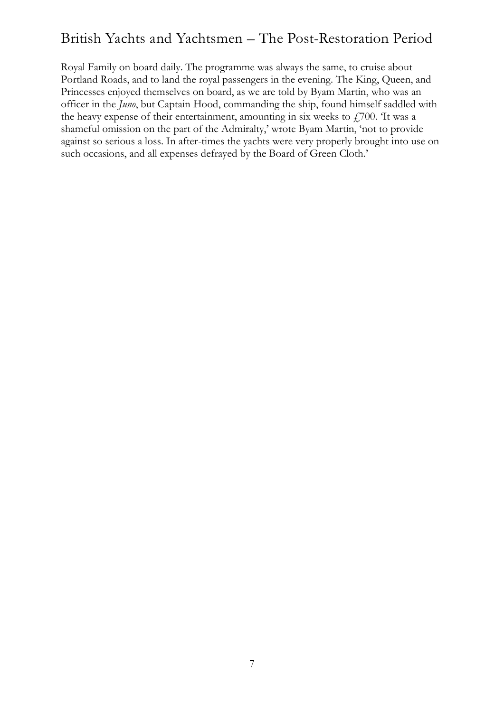Royal Family on board daily. The programme was always the same, to cruise about Portland Roads, and to land the royal passengers in the evening. The King, Queen, and Princesses enjoyed themselves on board, as we are told by Byam Martin, who was an officer in the *Juno*, but Captain Hood, commanding the ship, found himself saddled with the heavy expense of their entertainment, amounting in six weeks to  $f(700)$ . It was a shameful omission on the part of the Admiralty,' wrote Byam Martin, 'not to provide against so serious a loss. In after-times the yachts were very properly brought into use on such occasions, and all expenses defrayed by the Board of Green Cloth.'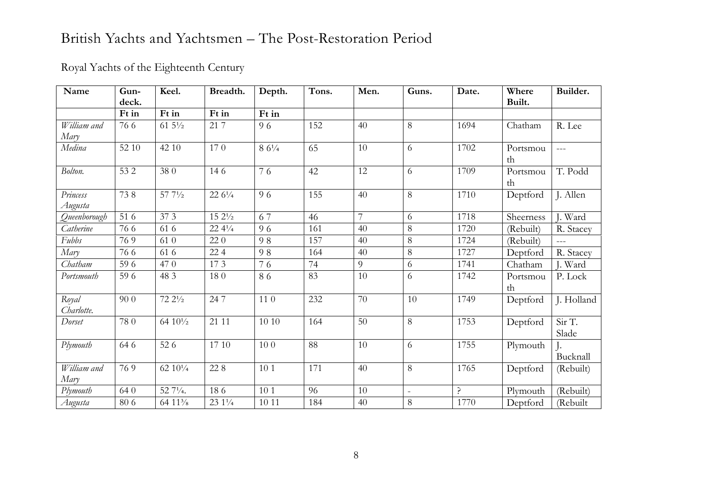### Royal Yachts of the Eighteenth Century

| Name                | Gun-<br>deck. | Keel.                             | Breadth.           | Depth.          | Tons. | Men. | Guns.          | Date. | Where<br>Built. | Builder.        |
|---------------------|---------------|-----------------------------------|--------------------|-----------------|-------|------|----------------|-------|-----------------|-----------------|
|                     | Ft in         | Ft in                             | Ft in              | Ft in           |       |      |                |       |                 |                 |
| William and<br>Mary | 76 6          | $61\,5\frac{1}{2}$                | 21 7               | 96              | 152   | 40   | 8              | 1694  | Chatham         | R. Lee          |
| Medina              | 52 10         | 42 10                             | 170                | $86^{1/4}$      | 65    | 10   | 6              | 1702  | Portsmou<br>th  | $\frac{1}{2}$   |
| Bolton.             | 532           | 380                               | 146                | 76              | 42    | 12   | 6              | 1709  | Portsmou<br>th  | T. Podd         |
| Princess<br>Augusta | 738           | $57\;7\frac{1}{2}$                | $22\,6\frac{1}{4}$ | 96              | 155   | 40   | 8              | 1710  | Deptford        | J. Allen        |
| Queenborough        | 51 6          | 373                               | $15\ 2\frac{1}{2}$ | 67              | 46    | 7    | 6              | 1718  | Sheerness       | J. Ward         |
| Catherine           | 766           | 61 6                              | $22\;4\frac{1}{4}$ | 96              | 161   | 40   | 8              | 1720  | (Rebuilt)       | R. Stacey       |
| Fubbs               | 769           | 61 0                              | 220                | 98              | 157   | 40   | 8              | 1724  | (Rebuilt)       | $ -$            |
| Mary                | 766           | 61 6                              | 224                | 98              | 164   | 40   | 8              | 1727  | Deptford        | R. Stacey       |
| Chatham             | 59 6          | 470                               | 173                | 76              | 74    | 9    | 6              | 1741  | Chatham         | J. Ward         |
| Portsmouth          | 59 6          | 48 3                              | 180                | 86              | 83    | 10   | 6              | 1742  | Portsmou<br>th  | P. Lock         |
| Royal<br>Charlotte. | 90 0          | $72\;2\frac{1}{2}$                | 247                | $11\ 0$         | 232   | 70   | 10             | 1749  | Deptford        | J. Holland      |
| Dorset              | 780           | 64 10 <sup>1</sup> / <sub>2</sub> | 21 11              | 10 10           | 164   | 50   | 8              | 1753  | Deptford        | Sir T.<br>Slade |
| Plymouth            | 64 6          | 52 6                              | 17 10              | 100             | 88    | 10   | 6              | 1755  | Plymouth        | Bucknall        |
| William and<br>Mary | 769           | $62\ 10^{1/4}$                    | 228                | 10 <sub>1</sub> | 171   | 40   | 8              | 1765  | Deptford        | (Rebuilt)       |
| Plymouth            | 640           | 52 71/4.                          | 186                | 10 <sub>1</sub> | 96    | 10   | $\overline{a}$ | Ç     | Plymouth        | (Rebuilt)       |
| Augusta             | 80 6          | 64 11 <sup>3</sup> / <sub>8</sub> | 23 1 1/4           | 10 11           | 184   | 40   | 8              | 1770  | Deptford        | (Rebuilt        |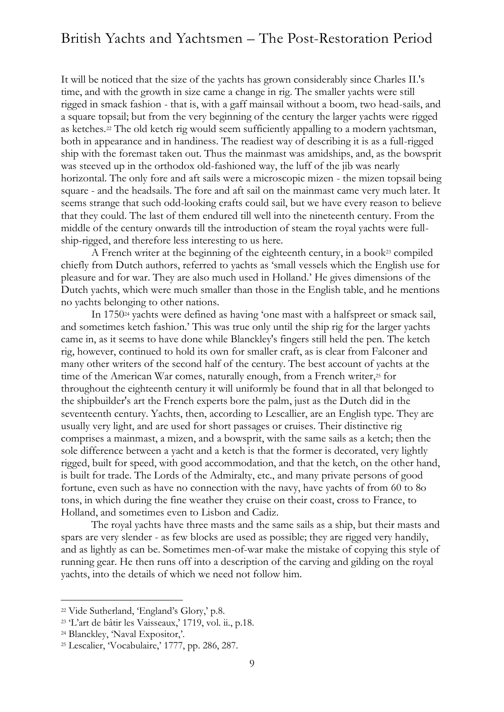It will be noticed that the size of the yachts has grown considerably since Charles II.'s time, and with the growth in size came a change in rig. The smaller yachts were still rigged in smack fashion - that is, with a gaff mainsail without a boom, two head-sails, and a square topsail; but from the very beginning of the century the larger yachts were rigged as ketches.<sup>22</sup> The old ketch rig would seem sufficiently appalling to a modern yachtsman, both in appearance and in handiness. The readiest way of describing it is as a full-rigged ship with the foremast taken out. Thus the mainmast was amidships, and, as the bowsprit was steeved up in the orthodox old-fashioned way, the luff of the jib was nearly horizontal. The only fore and aft sails were a microscopic mizen - the mizen topsail being square - and the headsails. The fore and aft sail on the mainmast came very much later. It seems strange that such odd-looking crafts could sail, but we have every reason to believe that they could. The last of them endured till well into the nineteenth century. From the middle of the century onwards till the introduction of steam the royal yachts were fullship-rigged, and therefore less interesting to us here.

A French writer at the beginning of the eighteenth century, in a book<sup>23</sup> compiled chiefly from Dutch authors, referred to yachts as 'small vessels which the English use for pleasure and for war. They are also much used in Holland.' He gives dimensions of the Dutch yachts, which were much smaller than those in the English table, and he mentions no yachts belonging to other nations.

In 1750<sup>24</sup> yachts were defined as having 'one mast with a halfspreet or smack sail, and sometimes ketch fashion.' This was true only until the ship rig for the larger yachts came in, as it seems to have done while Blanckley's fingers still held the pen. The ketch rig, however, continued to hold its own for smaller craft, as is clear from Falconer and many other writers of the second half of the century. The best account of yachts at the time of the American War comes, naturally enough, from a French writer,<sup>25</sup> for throughout the eighteenth century it will uniformly be found that in all that belonged to the shipbuilder's art the French experts bore the palm, just as the Dutch did in the seventeenth century. Yachts, then, according to Lescallier, are an English type. They are usually very light, and are used for short passages or cruises. Their distinctive rig comprises a mainmast, a mizen, and a bowsprit, with the same sails as a ketch; then the sole difference between a yacht and a ketch is that the former is decorated, very lightly rigged, built for speed, with good accommodation, and that the ketch, on the other hand, is built for trade. The Lords of the Admiralty, etc., and many private persons of good fortune, even such as have no connection with the navy, have yachts of from 60 to 8o tons, in which during the fine weather they cruise on their coast, cross to France, to Holland, and sometimes even to Lisbon and Cadiz.

The royal yachts have three masts and the same sails as a ship, but their masts and spars are very slender - as few blocks are used as possible; they are rigged very handily, and as lightly as can be. Sometimes men-of-war make the mistake of copying this style of running gear. He then runs off into a description of the carving and gilding on the royal yachts, into the details of which we need not follow him.

<sup>22</sup> Vide Sutherland, 'England's Glory,' p.8.

<sup>23</sup> 'L'art de bâtir les Vaisseaux,' 1719, vol. ii., p.18.

<sup>24</sup> Blanckley, 'Naval Expositor,'.

<sup>25</sup> Lescalier, 'Vocabulaire,' 1777, pp. 286, 287.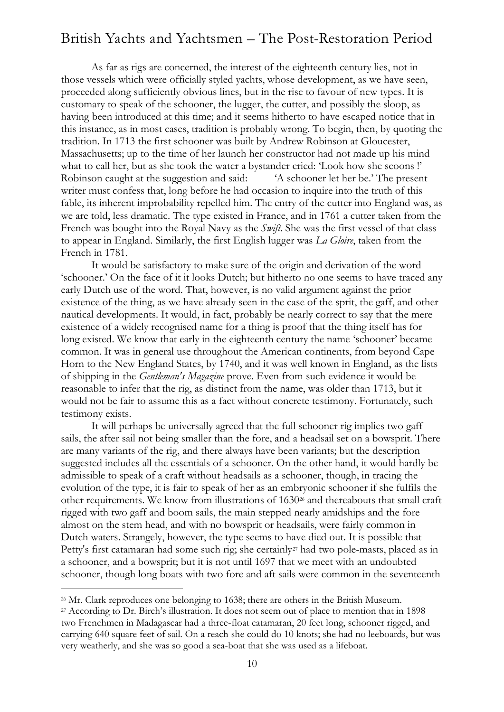As far as rigs are concerned, the interest of the eighteenth century lies, not in those vessels which were officially styled yachts, whose development, as we have seen, proceeded along sufficiently obvious lines, but in the rise to favour of new types. It is customary to speak of the schooner, the lugger, the cutter, and possibly the sloop, as having been introduced at this time; and it seems hitherto to have escaped notice that in this instance, as in most cases, tradition is probably wrong. To begin, then, by quoting the tradition. In 1713 the first schooner was built by Andrew Robinson at Gloucester, Massachusetts; up to the time of her launch her constructor had not made up his mind what to call her, but as she took the water a bystander cried: 'Look how she scoons!' Robinson caught at the suggestion and said: 'A schooner let her be.' The present writer must confess that, long before he had occasion to inquire into the truth of this fable, its inherent improbability repelled him. The entry of the cutter into England was, as we are told, less dramatic. The type existed in France, and in 1761 a cutter taken from the French was bought into the Royal Navy as the *Swift*. She was the first vessel of that class to appear in England. Similarly, the first English lugger was *La Gloire*, taken from the French in 1781.

It would be satisfactory to make sure of the origin and derivation of the word 'schooner.' On the face of it it looks Dutch; but hitherto no one seems to have traced any early Dutch use of the word. That, however, is no valid argument against the prior existence of the thing, as we have already seen in the case of the sprit, the gaff, and other nautical developments. It would, in fact, probably be nearly correct to say that the mere existence of a widely recognised name for a thing is proof that the thing itself has for long existed. We know that early in the eighteenth century the name 'schooner' became common. It was in general use throughout the American continents, from beyond Cape Horn to the New England States, by 1740, and it was well known in England, as the lists of shipping in the *Gentleman's Magazine* prove. Even from such evidence it would be reasonable to infer that the rig, as distinct from the name, was older than 1713, but it would not be fair to assume this as a fact without concrete testimony. Fortunately, such testimony exists.

It will perhaps be universally agreed that the full schooner rig implies two gaff sails, the after sail not being smaller than the fore, and a headsail set on a bowsprit. There are many variants of the rig, and there always have been variants; but the description suggested includes all the essentials of a schooner. On the other hand, it would hardly be admissible to speak of a craft without headsails as a schooner, though, in tracing the evolution of the type, it is fair to speak of her as an embryonic schooner if she fulfils the other requirements. We know from illustrations of 1630<sup>26</sup> and thereabouts that small craft rigged with two gaff and boom sails, the main stepped nearly amidships and the fore almost on the stem head, and with no bowsprit or headsails, were fairly common in Dutch waters. Strangely, however, the type seems to have died out. It is possible that Petty's first catamaran had some such rig; she certainly<sup>27</sup> had two pole-masts, placed as in a schooner, and a bowsprit; but it is not until 1697 that we meet with an undoubted schooner, though long boats with two fore and aft sails were common in the seventeenth

<sup>&</sup>lt;sup>26</sup> Mr. Clark reproduces one belonging to 1638; there are others in the British Museum.

<sup>&</sup>lt;sup>27</sup> According to Dr. Birch's illustration. It does not seem out of place to mention that in 1898 two Frenchmen in Madagascar had a three-float catamaran, 20 feet long, schooner rigged, and carrying 640 square feet of sail. On a reach she could do 10 knots; she had no leeboards, but was very weatherly, and she was so good a sea-boat that she was used as a lifeboat.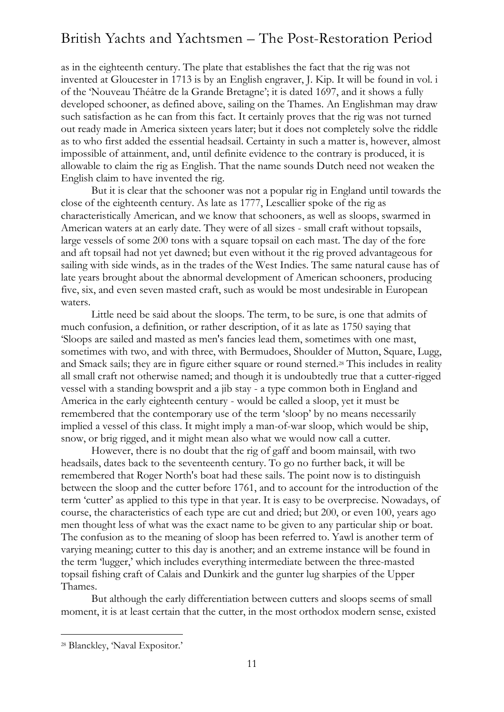as in the eighteenth century. The plate that establishes the fact that the rig was not invented at Gloucester in 1713 is by an English engraver, J. Kip. It will be found in vol. i of the 'Nouveau Théâtre de la Grande Bretagne'; it is dated 1697, and it shows a fully developed schooner, as defined above, sailing on the Thames. An Englishman may draw such satisfaction as he can from this fact. It certainly proves that the rig was not turned out ready made in America sixteen years later; but it does not completely solve the riddle as to who first added the essential headsail. Certainty in such a matter is, however, almost impossible of attainment, and, until definite evidence to the contrary is produced, it is allowable to claim the rig as English. That the name sounds Dutch need not weaken the English claim to have invented the rig.

But it is clear that the schooner was not a popular rig in England until towards the close of the eighteenth century. As late as 1777, Lescallier spoke of the rig as characteristically American, and we know that schooners, as well as sloops, swarmed in American waters at an early date. They were of all sizes - small craft without topsails, large vessels of some 200 tons with a square topsail on each mast. The day of the fore and aft topsail had not yet dawned; but even without it the rig proved advantageous for sailing with side winds, as in the trades of the West Indies. The same natural cause has of late years brought about the abnormal development of American schooners, producing five, six, and even seven masted craft, such as would be most undesirable in European waters.

Little need be said about the sloops. The term, to be sure, is one that admits of much confusion, a definition, or rather description, of it as late as 1750 saying that 'Sloops are sailed and masted as men's fancies lead them, sometimes with one mast, sometimes with two, and with three, with Bermudoes, Shoulder of Mutton, Square, Lugg, and Smack sails; they are in figure either square or round sterned.<sup>28</sup> This includes in reality all small craft not otherwise named; and though it is undoubtedly true that a cutter-rigged vessel with a standing bowsprit and a jib stay - a type common both in England and America in the early eighteenth century - would be called a sloop, yet it must be remembered that the contemporary use of the term 'sloop' by no means necessarily implied a vessel of this class. It might imply a man-of-war sloop, which would be ship, snow, or brig rigged, and it might mean also what we would now call a cutter.

However, there is no doubt that the rig of gaff and boom mainsail, with two headsails, dates back to the seventeenth century. To go no further back, it will be remembered that Roger North's boat had these sails. The point now is to distinguish between the sloop and the cutter before 1761, and to account for the introduction of the term 'cutter' as applied to this type in that year. It is easy to be overprecise. Nowadays, of course, the characteristics of each type are cut and dried; but 200, or even 100, years ago men thought less of what was the exact name to be given to any particular ship or boat. The confusion as to the meaning of sloop has been referred to. Yawl is another term of varying meaning; cutter to this day is another; and an extreme instance will be found in the term 'lugger,' which includes everything intermediate between the three-masted topsail fishing craft of Calais and Dunkirk and the gunter lug sharpies of the Upper Thames.

But although the early differentiation between cutters and sloops seems of small moment, it is at least certain that the cutter, in the most orthodox modern sense, existed

<sup>28</sup> Blanckley, 'Naval Expositor.'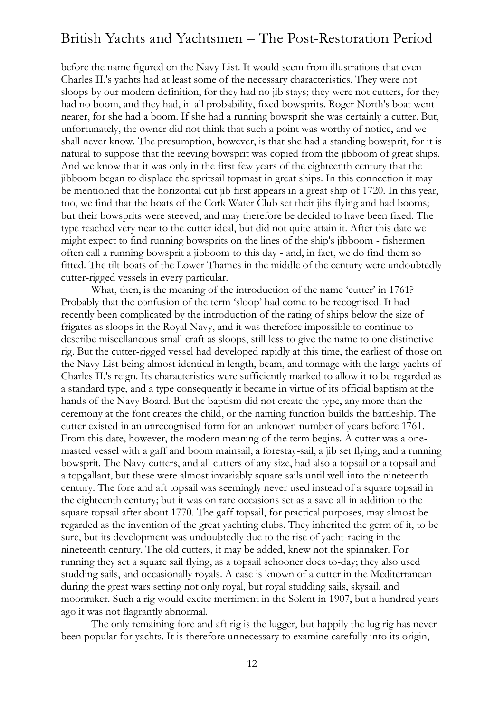before the name figured on the Navy List. It would seem from illustrations that even Charles II.'s yachts had at least some of the necessary characteristics. They were not sloops by our modern definition, for they had no jib stays; they were not cutters, for they had no boom, and they had, in all probability, fixed bowsprits. Roger North's boat went nearer, for she had a boom. If she had a running bowsprit she was certainly a cutter. But, unfortunately, the owner did not think that such a point was worthy of notice, and we shall never know. The presumption, however, is that she had a standing bowsprit, for it is natural to suppose that the reeving bowsprit was copied from the jibboom of great ships. And we know that it was only in the first few years of the eighteenth century that the jibboom began to displace the spritsail topmast in great ships. In this connection it may be mentioned that the horizontal cut jib first appears in a great ship of 1720. In this year, too, we find that the boats of the Cork Water Club set their jibs flying and had booms; but their bowsprits were steeved, and may therefore be decided to have been fixed. The type reached very near to the cutter ideal, but did not quite attain it. After this date we might expect to find running bowsprits on the lines of the ship's jibboom - fishermen often call a running bowsprit a jibboom to this day - and, in fact, we do find them so fitted. The tilt-boats of the Lower Thames in the middle of the century were undoubtedly cutter-rigged vessels in every particular.

What, then, is the meaning of the introduction of the name 'cutter' in 1761? Probably that the confusion of the term 'sloop' had come to be recognised. It had recently been complicated by the introduction of the rating of ships below the size of frigates as sloops in the Royal Navy, and it was therefore impossible to continue to describe miscellaneous small craft as sloops, still less to give the name to one distinctive rig. But the cutter-rigged vessel had developed rapidly at this time, the earliest of those on the Navy List being almost identical in length, beam, and tonnage with the large yachts of Charles II.'s reign. Its characteristics were sufficiently marked to allow it to be regarded as a standard type, and a type consequently it became in virtue of its official baptism at the hands of the Navy Board. But the baptism did not create the type, any more than the ceremony at the font creates the child, or the naming function builds the battleship. The cutter existed in an unrecognised form for an unknown number of years before 1761. From this date, however, the modern meaning of the term begins. A cutter was a onemasted vessel with a gaff and boom mainsail, a forestay-sail, a jib set flying, and a running bowsprit. The Navy cutters, and all cutters of any size, had also a topsail or a topsail and a topgallant, but these were almost invariably square sails until well into the nineteenth century. The fore and aft topsail was seemingly never used instead of a square topsail in the eighteenth century; but it was on rare occasions set as a save-all in addition to the square topsail after about 1770. The gaff topsail, for practical purposes, may almost be regarded as the invention of the great yachting clubs. They inherited the germ of it, to be sure, but its development was undoubtedly due to the rise of yacht-racing in the nineteenth century. The old cutters, it may be added, knew not the spinnaker. For running they set a square sail flying, as a topsail schooner does to-day; they also used studding sails, and occasionally royals. A case is known of a cutter in the Mediterranean during the great wars setting not only royal, but royal studding sails, skysail, and moonraker. Such a rig would excite merriment in the Solent in 1907, but a hundred years ago it was not flagrantly abnormal.

The only remaining fore and aft rig is the lugger, but happily the lug rig has never been popular for yachts. It is therefore unnecessary to examine carefully into its origin,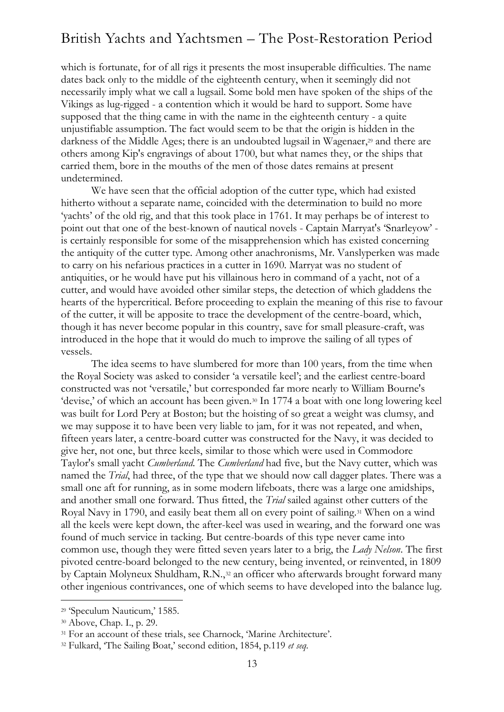which is fortunate, for of all rigs it presents the most insuperable difficulties. The name dates back only to the middle of the eighteenth century, when it seemingly did not necessarily imply what we call a lugsail. Some bold men have spoken of the ships of the Vikings as lug-rigged - a contention which it would be hard to support. Some have supposed that the thing came in with the name in the eighteenth century - a quite unjustifiable assumption. The fact would seem to be that the origin is hidden in the darkness of the Middle Ages; there is an undoubted lugsail in Wagenaer,<sup>29</sup> and there are others among Kip's engravings of about 1700, but what names they, or the ships that carried them, bore in the mouths of the men of those dates remains at present undetermined.

We have seen that the official adoption of the cutter type, which had existed hitherto without a separate name, coincided with the determination to build no more 'yachts' of the old rig, and that this took place in 1761. It may perhaps be of interest to point out that one of the best-known of nautical novels - Captain Marryat's 'Snarleyow' is certainly responsible for some of the misapprehension which has existed concerning the antiquity of the cutter type. Among other anachronisms, Mr. Vanslyperken was made to carry on his nefarious practices in a cutter in 1690. Marryat was no student of antiquities, or he would have put his villainous hero in command of a yacht, not of a cutter, and would have avoided other similar steps, the detection of which gladdens the hearts of the hypercritical. Before proceeding to explain the meaning of this rise to favour of the cutter, it will be apposite to trace the development of the centre-board, which, though it has never become popular in this country, save for small pleasure-craft, was introduced in the hope that it would do much to improve the sailing of all types of vessels.

The idea seems to have slumbered for more than 100 years, from the time when the Royal Society was asked to consider 'a versatile keel'; and the earliest centre-board constructed was not 'versatile,' but corresponded far more nearly to William Bourne's 'devise,' of which an account has been given.<sup>30</sup> In 1774 a boat with one long lowering keel was built for Lord Pery at Boston; but the hoisting of so great a weight was clumsy, and we may suppose it to have been very liable to jam, for it was not repeated, and when, fifteen years later, a centre-board cutter was constructed for the Navy, it was decided to give her, not one, but three keels, similar to those which were used in Commodore Taylor's small yacht *Cumberland*. The *Cumberland* had five, but the Navy cutter, which was named the *Trial*, had three, of the type that we should now call dagger plates. There was a small one aft for running, as in some modern lifeboats, there was a large one amidships, and another small one forward. Thus fitted, the *Trial* sailed against other cutters of the Royal Navy in 1790, and easily beat them all on every point of sailing.<sup>31</sup> When on a wind all the keels were kept down, the after-keel was used in wearing, and the forward one was found of much service in tacking. But centre-boards of this type never came into common use, though they were fitted seven years later to a brig, the *Lady Nelson*. The first pivoted centre-board belonged to the new century, being invented, or reinvented, in 1809 by Captain Molyneux Shuldham, R.N.,<sup>32</sup> an officer who afterwards brought forward many other ingenious contrivances, one of which seems to have developed into the balance lug.

<sup>29</sup> 'Speculum Nauticum,' 1585.

<sup>30</sup> Above, Chap. I., p. 29.

<sup>&</sup>lt;sup>31</sup> For an account of these trials, see Charnock, 'Marine Architecture'.

<sup>32</sup> Fulkard, 'The Sailing Boat,' second edition, 1854, p.119 *et seq.*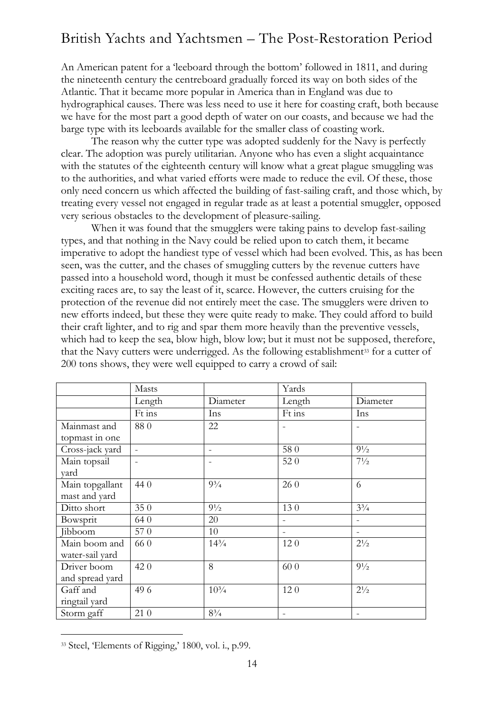An American patent for a 'leeboard through the bottom' followed in 1811, and during the nineteenth century the centreboard gradually forced its way on both sides of the Atlantic. That it became more popular in America than in England was due to hydrographical causes. There was less need to use it here for coasting craft, both because we have for the most part a good depth of water on our coasts, and because we had the barge type with its leeboards available for the smaller class of coasting work.

The reason why the cutter type was adopted suddenly for the Navy is perfectly clear. The adoption was purely utilitarian. Anyone who has even a slight acquaintance with the statutes of the eighteenth century will know what a great plague smuggling was to the authorities, and what varied efforts were made to reduce the evil. Of these, those only need concern us which affected the building of fast-sailing craft, and those which, by treating every vessel not engaged in regular trade as at least a potential smuggler, opposed very serious obstacles to the development of pleasure-sailing.

When it was found that the smugglers were taking pains to develop fast-sailing types, and that nothing in the Navy could be relied upon to catch them, it became imperative to adopt the handiest type of vessel which had been evolved. This, as has been seen, was the cutter, and the chases of smuggling cutters by the revenue cutters have passed into a household word, though it must be confessed authentic details of these exciting races are, to say the least of it, scarce. However, the cutters cruising for the protection of the revenue did not entirely meet the case. The smugglers were driven to new efforts indeed, but these they were quite ready to make. They could afford to build their craft lighter, and to rig and spar them more heavily than the preventive vessels, which had to keep the sea, blow high, blow low; but it must not be supposed, therefore, that the Navy cutters were underrigged. As the following establishment<sup>33</sup> for a cutter of 200 tons shows, they were well equipped to carry a crowd of sail:

|                 | Masts    |                | Yards  |                |
|-----------------|----------|----------------|--------|----------------|
|                 | Length   | Diameter       | Length | Diameter       |
|                 | Ft ins   | Ins            | Ft ins | Ins            |
| Mainmast and    | 880      | 22             |        |                |
| topmast in one  |          |                |        |                |
| Cross-jack yard | $\equiv$ |                | 580    | $9^{1/2}$      |
| Main topsail    |          |                | 520    | $7^{1/2}$      |
| yard            |          |                |        |                |
| Main topgallant | 44 0     | $9^{3}/_{4}$   | 260    | 6              |
| mast and yard   |          |                |        |                |
| Ditto short     | 350      | $9\frac{1}{2}$ | 130    | $3^{3}/_{4}$   |
| Bowsprit        | 640      | 20             |        |                |
| Jibboom         | 570      | 10             |        |                |
| Main boom and   | 66 0     | $14^{3}/_{4}$  | 120    | $2^{1/2}$      |
| water-sail yard |          |                |        |                |
| Driver boom     | 420      | 8              | 60 0   | $9\frac{1}{2}$ |
| and spread yard |          |                |        |                |
| Gaff and        | 496      | $10^{3}/_{4}$  | 120    | $2^{1/2}$      |
| ringtail yard   |          |                |        |                |
| Storm gaff      | 21 0     | $8\frac{3}{4}$ |        |                |

<sup>33</sup> Steel, 'Elements of Rigging,' 1800, vol. i., p.99.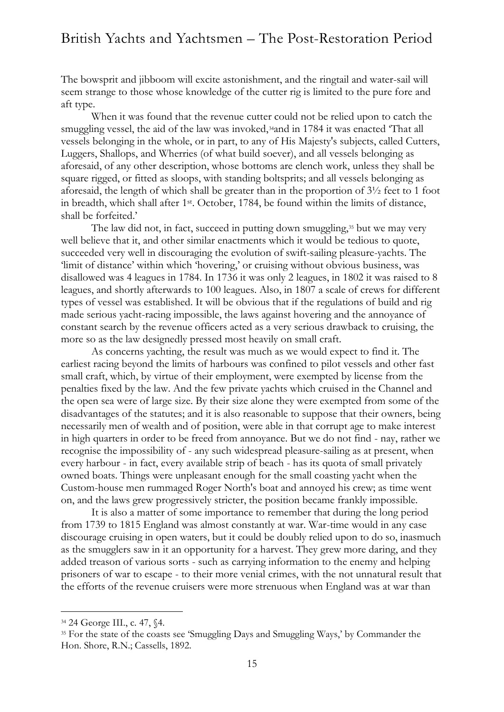The bowsprit and jibboom will excite astonishment, and the ringtail and water-sail will seem strange to those whose knowledge of the cutter rig is limited to the pure fore and aft type.

When it was found that the revenue cutter could not be relied upon to catch the smuggling vessel, the aid of the law was invoked,<sup>34</sup>and in 1784 it was enacted 'That all vessels belonging in the whole, or in part, to any of His Majesty's subjects, called Cutters, Luggers, Shallops, and Wherries (of what build soever), and all vessels belonging as aforesaid, of any other description, whose bottoms are clench work, unless they shall be square rigged, or fitted as sloops, with standing boltsprits; and all vessels belonging as aforesaid, the length of which shall be greater than in the proportion of 3½ feet to 1 foot in breadth, which shall after 1st . October, 1784, be found within the limits of distance, shall be forfeited.'

The law did not, in fact, succeed in putting down smuggling,<sup>35</sup> but we may very well believe that it, and other similar enactments which it would be tedious to quote, succeeded very well in discouraging the evolution of swift-sailing pleasure-yachts. The 'limit of distance' within which 'hovering,' or cruising without obvious business, was disallowed was 4 leagues in 1784. In 1736 it was only 2 leagues, in 1802 it was raised to 8 leagues, and shortly afterwards to 100 leagues. Also, in 1807 a scale of crews for different types of vessel was established. It will be obvious that if the regulations of build and rig made serious yacht-racing impossible, the laws against hovering and the annoyance of constant search by the revenue officers acted as a very serious drawback to cruising, the more so as the law designedly pressed most heavily on small craft.

As concerns yachting, the result was much as we would expect to find it. The earliest racing beyond the limits of harbours was confined to pilot vessels and other fast small craft, which, by virtue of their employment, were exempted by license from the penalties fixed by the law. And the few private yachts which cruised in the Channel and the open sea were of large size. By their size alone they were exempted from some of the disadvantages of the statutes; and it is also reasonable to suppose that their owners, being necessarily men of wealth and of position, were able in that corrupt age to make interest in high quarters in order to be freed from annoyance. But we do not find - nay, rather we recognise the impossibility of - any such widespread pleasure-sailing as at present, when every harbour - in fact, every available strip of beach - has its quota of small privately owned boats. Things were unpleasant enough for the small coasting yacht when the Custom-house men rummaged Roger North's boat and annoyed his crew; as time went on, and the laws grew progressively stricter, the position became frankly impossible.

It is also a matter of some importance to remember that during the long period from 1739 to 1815 England was almost constantly at war. War-time would in any case discourage cruising in open waters, but it could be doubly relied upon to do so, inasmuch as the smugglers saw in it an opportunity for a harvest. They grew more daring, and they added treason of various sorts - such as carrying information to the enemy and helping prisoners of war to escape - to their more venial crimes, with the not unnatural result that the efforts of the revenue cruisers were more strenuous when England was at war than

<sup>34</sup> 24 George III., c. 47, §4.

<sup>&</sup>lt;sup>35</sup> For the state of the coasts see 'Smuggling Days and Smuggling Ways,' by Commander the Hon. Shore, R.N.; Cassells, 1892.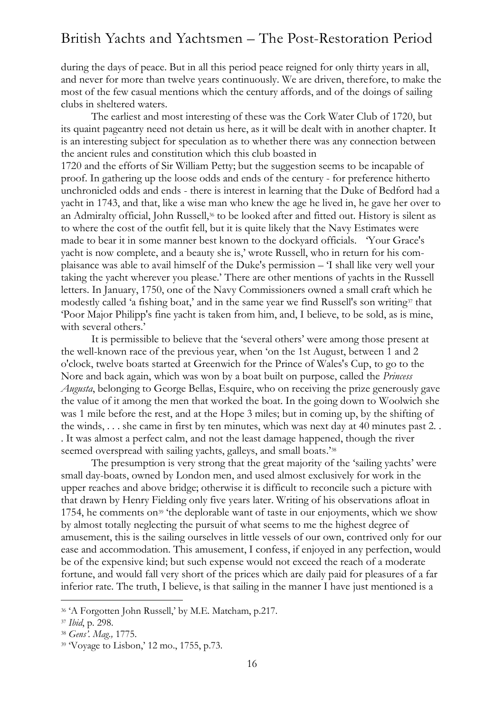during the days of peace. But in all this period peace reigned for only thirty years in all, and never for more than twelve years continuously. We are driven, therefore, to make the most of the few casual mentions which the century affords, and of the doings of sailing clubs in sheltered waters.

The earliest and most interesting of these was the Cork Water Club of 1720, but its quaint pageantry need not detain us here, as it will be dealt with in another chapter. It is an interesting subject for speculation as to whether there was any connection between the ancient rules and constitution which this club boasted in

1720 and the efforts of Sir William Petty; but the suggestion seems to be incapable of proof. In gathering up the loose odds and ends of the century - for preference hitherto unchronicled odds and ends - there is interest in learning that the Duke of Bedford had a yacht in 1743, and that, like a wise man who knew the age he lived in, he gave her over to an Admiralty official, John Russell,<sup>36</sup> to be looked after and fitted out. History is silent as to where the cost of the outfit fell, but it is quite likely that the Navy Estimates were made to bear it in some manner best known to the dockyard officials. 'Your Grace's yacht is now complete, and a beauty she is,' wrote Russell, who in return for his complaisance was able to avail himself of the Duke's permission – 'I shall like very well your taking the yacht wherever you please.' There are other mentions of yachts in the Russell letters. In January, 1750, one of the Navy Commissioners owned a small craft which he modestly called 'a fishing boat,' and in the same year we find Russell's son writing<sup>37</sup> that 'Poor Major Philipp's fine yacht is taken from him, and, I believe, to be sold, as is mine, with several others.'

It is permissible to believe that the 'several others' were among those present at the well-known race of the previous year, when 'on the 1st August, between 1 and 2 o'clock, twelve boats started at Greenwich for the Prince of Wales's Cup, to go to the Nore and back again, which was won by a boat built on purpose, called the *Princess Augusta*, belonging to George Bellas, Esquire, who on receiving the prize generously gave the value of it among the men that worked the boat. In the going down to Woolwich she was 1 mile before the rest, and at the Hope 3 miles; but in coming up, by the shifting of the winds, . . . she came in first by ten minutes, which was next day at 40 minutes past 2. . . It was almost a perfect calm, and not the least damage happened, though the river seemed overspread with sailing yachts, galleys, and small boats.'<sup>38</sup>

The presumption is very strong that the great majority of the 'sailing yachts' were small day-boats, owned by London men, and used almost exclusively for work in the upper reaches and above bridge; otherwise it is difficult to reconcile such a picture with that drawn by Henry Fielding only five years later. Writing of his observations afloat in 1754, he comments on<sup>39</sup> 'the deplorable want of taste in our enjoyments, which we show by almost totally neglecting the pursuit of what seems to me the highest degree of amusement, this is the sailing ourselves in little vessels of our own, contrived only for our ease and accommodation. This amusement, I confess, if enjoyed in any perfection, would be of the expensive kind; but such expense would not exceed the reach of a moderate fortune, and would fall very short of the prices which are daily paid for pleasures of a far inferior rate. The truth, I believe, is that sailing in the manner I have just mentioned is a

<sup>36</sup> 'A Forgotten John Russell,' by M.E. Matcham, p.217.

<sup>37</sup> *Ibid*, p. 298.

<sup>38</sup> *Gens'. Mag.,* 1775.

<sup>39</sup> 'Voyage to Lisbon,' 12 mo., 1755, p.73.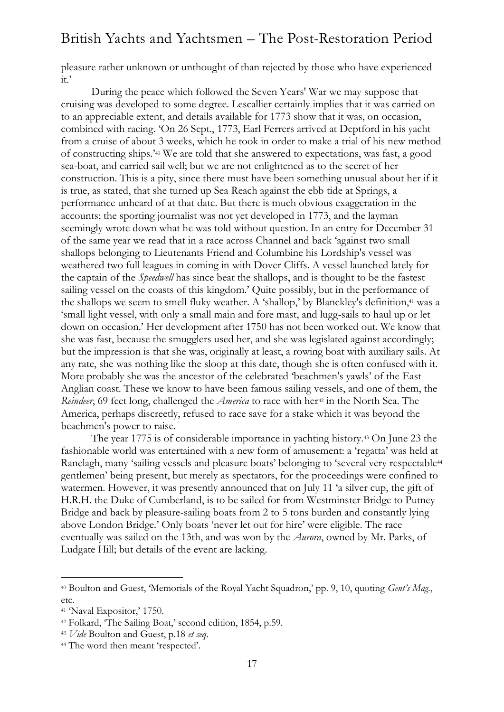pleasure rather unknown or unthought of than rejected by those who have experienced it.'

During the peace which followed the Seven Years' War we may suppose that cruising was developed to some degree. Lescallier certainly implies that it was carried on to an appreciable extent, and details available for 1773 show that it was, on occasion, combined with racing. 'On 26 Sept., 1773, Earl Ferrers arrived at Deptford in his yacht from a cruise of about 3 weeks, which he took in order to make a trial of his new method of constructing ships.'<sup>40</sup> We are told that she answered to expectations, was fast, a good sea-boat, and carried sail well; but we are not enlightened as to the secret of her construction. This is a pity, since there must have been something unusual about her if it is true, as stated, that she turned up Sea Reach against the ebb tide at Springs, a performance unheard of at that date. But there is much obvious exaggeration in the accounts; the sporting journalist was not yet developed in 1773, and the layman seemingly wrote down what he was told without question. In an entry for December 31 of the same year we read that in a race across Channel and back 'against two small shallops belonging to Lieutenants Friend and Columbine his Lordship's vessel was weathered two full leagues in coming in with Dover Cliffs. A vessel launched lately for the captain of the *Speedwell* has since beat the shallops, and is thought to be the fastest sailing vessel on the coasts of this kingdom.' Quite possibly, but in the performance of the shallops we seem to smell fluky weather. A 'shallop,' by Blanckley's definition,<sup>41</sup> was a 'small light vessel, with only a small main and fore mast, and lugg-sails to haul up or let down on occasion.' Her development after 1750 has not been worked out. We know that she was fast, because the smugglers used her, and she was legislated against accordingly; but the impression is that she was, originally at least, a rowing boat with auxiliary sails. At any rate, she was nothing like the sloop at this date, though she is often confused with it. More probably she was the ancestor of the celebrated 'beachmen's yawls' of the East Anglian coast. These we know to have been famous sailing vessels, and one of them, the *Reindeer*, 69 feet long, challenged the *America* to race with her<sup>42</sup> in the North Sea. The America, perhaps discreetly, refused to race save for a stake which it was beyond the beachmen's power to raise.

The year 1775 is of considerable importance in yachting history.<sup>43</sup> On June 23 the fashionable world was entertained with a new form of amusement: a 'regatta' was held at Ranelagh, many 'sailing vessels and pleasure boats' belonging to 'several very respectable<sup>44</sup> gentlemen' being present, but merely as spectators, for the proceedings were confined to watermen. However, it was presently announced that on July 11 'a silver cup, the gift of H.R.H. the Duke of Cumberland, is to be sailed for from Westminster Bridge to Putney Bridge and back by pleasure-sailing boats from 2 to 5 tons burden and constantly lying above London Bridge.' Only boats 'never let out for hire' were eligible. The race eventually was sailed on the 13th, and was won by the *Aurora*, owned by Mr. Parks, of Ludgate Hill; but details of the event are lacking.

<sup>40</sup> Boulton and Guest, 'Memorials of the Royal Yacht Squadron,' pp. 9, 10, quoting *Gent's Mag*., etc.

<sup>41</sup> 'Naval Expositor,' 1750.

<sup>42</sup> Folkard, 'The Sailing Boat,' second edition, 1854, p.59.

<sup>43</sup> *Vide* Boulton and Guest, p.18 *et seq.*

<sup>44</sup> The word then meant 'respected'.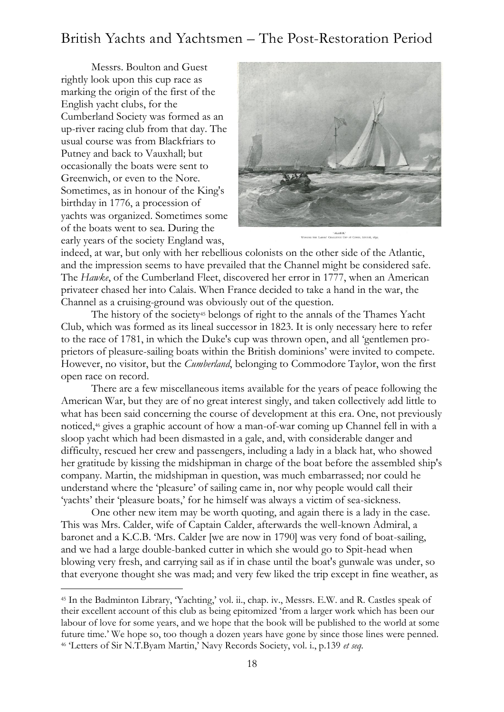Messrs. Boulton and Guest rightly look upon this cup race as marking the origin of the first of the English yacht clubs, for the Cumberland Society was formed as an up-river racing club from that day. The usual course was from Blackfriars to Putney and back to Vauxhall; but occasionally the boats were sent to Greenwich, or even to the Nore. Sometimes, as in honour of the King's birthday in 1776, a procession of yachts was organized. Sometimes some of the boats went to sea. During the early years of the society England was,

-



indeed, at war, but only with her rebellious colonists on the other side of the Atlantic, and the impression seems to have prevailed that the Channel might be considered safe. The *Hawke*, of the Cumberland Fleet, discovered her error in 1777, when an American privateer chased her into Calais. When France decided to take a hand in the war, the Channel as a cruising-ground was obviously out of the question.

The history of the society<sup>45</sup> belongs of right to the annals of the Thames Yacht Club, which was formed as its lineal successor in 1823. It is only necessary here to refer to the race of 1781, in which the Duke's cup was thrown open, and all 'gentlemen proprietors of pleasure-sailing boats within the British dominions' were invited to compete. However, no visitor, but the *Cumberland*, belonging to Commodore Taylor, won the first open race on record.

There are a few miscellaneous items available for the years of peace following the American War, but they are of no great interest singly, and taken collectively add little to what has been said concerning the course of development at this era. One, not previously noticed,<sup>46</sup> gives a graphic account of how a man-of-war coming up Channel fell in with a sloop yacht which had been dismasted in a gale, and, with considerable danger and difficulty, rescued her crew and passengers, including a lady in a black hat, who showed her gratitude by kissing the midshipman in charge of the boat before the assembled ship's company. Martin, the midshipman in question, was much embarrassed; nor could he understand where the 'pleasure' of sailing came in, nor why people would call their 'yachts' their 'pleasure boats,' for he himself was always a victim of sea-sickness.

One other new item may be worth quoting, and again there is a lady in the case. This was Mrs. Calder, wife of Captain Calder, afterwards the well-known Admiral, a baronet and a K.C.B. 'Mrs. Calder [we are now in 1790] was very fond of boat-sailing, and we had a large double-banked cutter in which she would go to Spit-head when blowing very fresh, and carrying sail as if in chase until the boat's gunwale was under, so that everyone thought she was mad; and very few liked the trip except in fine weather, as

<sup>45</sup> In the Badminton Library, 'Yachting,' vol. ii., chap. iv., Messrs. E.W. and R. Castles speak of their excellent account of this club as being epitomized 'from a larger work which has been our labour of love for some years, and we hope that the book will be published to the world at some future time.' We hope so, too though a dozen years have gone by since those lines were penned. <sup>46</sup> 'Letters of Sir N.T.Byam Martin,' Navy Records Society, vol. i., p.139 *et seq.*